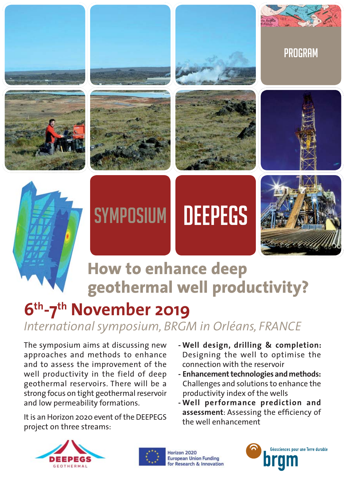

# **How to enhance deep geothermal well productivity?**

# **6th-7th November 2019**

# *International symposium, BRGM in Orléans, FRANCE*

The symposium aims at discussing new approaches and methods to enhance and to assess the improvement of the well productivity in the field of deep geothermal reservoirs. There will be a strong focus on tight geothermal reservoir and low permeability formations.

It is an Horizon 2020 event of the DEEPEGS project on three streams:

- **Well design, drilling & completion:** Designing the well to optimise the connection with the reservoir
- **Enhancement technologies and methods:** Challenges and solutions to enhance the productivity index of the wells
- **Well performance prediction and** assessment: Assessing the efficiency of the well enhancement





Horizon 2020 **European Union Funding** for Research & Innovation

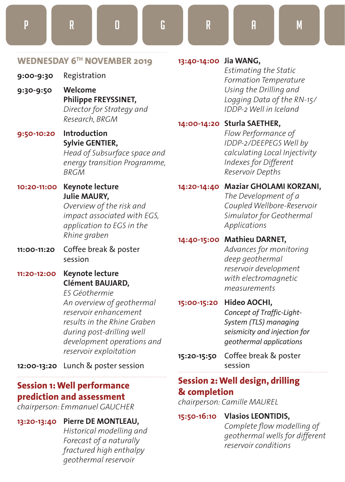**9:00-9:30** Registration

- **9:30-9:50 Welcome Philippe FREYSSINET,** *Director for Strategy and Research, BRGM*
- **9:50-10:20 Introduction Sylvie GENTIER,**  *Head of Subsurface space and*

*energy transition Programme, BRGM*

**10:20-11:00 Keynote lecture Julie MAURY,**

*Overview of the risk and impact associated with EGS, application to EGS in the Rhine graben*

- **11:00-11:20** Coffee break & poster session
- **11:20-12:00 Keynote lecture Clément BAUJARD,**

*ES Géothermie An overview of geothermal reservoir enhancement results in the Rhine Graben during post-drilling well development operations and reservoir exploitation*

**12:00-13:20** Lunch & poster session

### **Session 1: Well performance prediction and assessment**

*chairperson: Emmanuel GAUCHER* 

**13:20-13:40****Pierre DE MONTLEAU,**

*Historical modelling and Forecast of a naturally fractured high enthalpy geothermal reservoir*

#### **13:40-14:00 Jia WANG,**

*Estimating the Static Formation Temperature Using the Drilling and Logging Data of the RN-15/ IDDP-2 Well in Iceland*

#### **14:00-14:20 Sturla SAETHER,**

*Flow Performance of IDDP-2/DEEPEGS Well by calculating Local Injectivity Indexes for Different Reservoir Depths*

#### **14:20-14:40****Maziar GHOLAMI KORZANI,**

*The Development of a Coupled Wellbore-Reservoir Simulator for Geothermal Applications*

#### **14:40-15:00****Mathieu DARNET,**

*Advances for monitoring deep geothermal reservoir development with electromagnetic measurements*

#### **15:00-15:20 Hideo AOCHI,**

*Concept of Traffic-Light-System (TLS) managing seismicity and injection for geothermal applications*

**15:20-15:50**Coffee break & poster session

#### **Session 2: Well design, drilling & completion**

*chairperson: Camille MAUREL*

#### **15:50-16:10****Vlasios LEONTIDIS,**

Complete flow modelling of *geothermal wells for different reservoir conditions*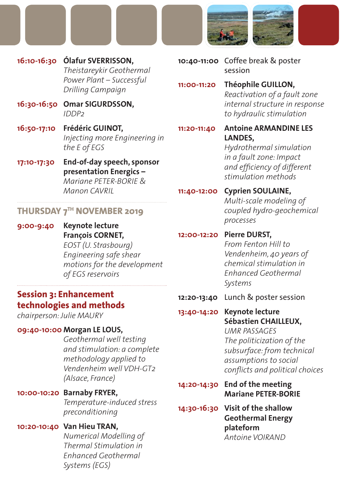

- **16:10-16:30****Ólafur SVERRISSON,** *Theistareykir Geothermal Power Plant – Successful Drilling Campaign*
- **16:30-16:50 Omar SIGURDSSON,** *IDDP2*
- **16:50-17:10 Frédéric GUINOT,** *Injecting more Engineering in the E of EGS*
- **17:10-17:30 End-of-day speech, sponsor presentation Energics –**  *Mariane PETER-BORIE & Manon CAVRIL*

#### **THURSDAY 7TH NOVEMBER 2019**

**9:00-9:40 Keynote lecture François CORNET,**  *EOST (U. Strasbourg) Engineering safe shear motions for the development of EGS reservoirs*

### **Session 3: Enhancement technologies and methods**

*chairperson: Julie MAURY*

#### **09:40-10:00 Morgan LE LOUS,**

*Geothermal well testing and stimulation: a complete methodology applied to Vendenheim well VDH-GT2 (Alsace, France)*

#### **10:00-10:20 Barnaby FRYER,**

*Temperature-induced stress preconditioning*

#### **10:20-10:40****Van Hieu TRAN,**

*Numerical Modelling of Thermal Stimulation in Enhanced Geothermal Systems (EGS)*

- **10:40-11:00** Coffee break & poster session
- **11:00-11:20 Théophile GUILLON,** *Reactivation of a fault zone internal structure in response to hydraulic stimulation*
- **11:20-11:40****Antoine ARMANDINE LES LANDES,**

*Hydrothermal simulation in a fault zone: Impact*  and efficiency of different *stimulation methods*

**11:40-12:00 Cyprien SOULAINE,** *Multi-scale modeling of coupled hydro-geochemical processes*

#### **12:00-12:20****Pierre DURST,**

*From Fenton Hill to Vendenheim, 40 years of chemical stimulation in Enhanced Geothermal Systems*

**12:20-13:40** Lunch & poster session

#### **13:40-14:20 Keynote lecture Sébastien CHAILLEUX,**

*UMR PASSAGES The politicization of the subsurface: from technical assumptions to social confl icts and political choices*

- **14:20-14:30 End of the meeting Mariane PETER-BORIE**
- **14:30-16:30 Visit of the shallow Geothermal Energy plateform** *Antoine VOIRAND*